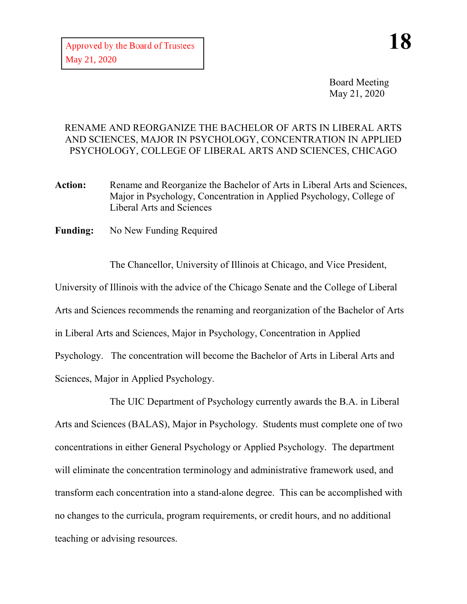Board Meeting May 21, 2020

## RENAME AND REORGANIZE THE BACHELOR OF ARTS IN LIBERAL ARTS AND SCIENCES, MAJOR IN PSYCHOLOGY, CONCENTRATION IN APPLIED PSYCHOLOGY, COLLEGE OF LIBERAL ARTS AND SCIENCES, CHICAGO

- **Action:** Rename and Reorganize the Bachelor of Arts in Liberal Arts and Sciences, Major in Psychology, Concentration in Applied Psychology, College of Liberal Arts and Sciences
- **Funding:** No New Funding Required

The Chancellor, University of Illinois at Chicago, and Vice President, University of Illinois with the advice of the Chicago Senate and the College of Liberal Arts and Sciences recommends the renaming and reorganization of the Bachelor of Arts in Liberal Arts and Sciences, Major in Psychology, Concentration in Applied Psychology. The concentration will become the Bachelor of Arts in Liberal Arts and Sciences, Major in Applied Psychology.

The UIC Department of Psychology currently awards the B.A. in Liberal Arts and Sciences (BALAS), Major in Psychology. Students must complete one of two concentrations in either General Psychology or Applied Psychology. The department will eliminate the concentration terminology and administrative framework used, and transform each concentration into a stand-alone degree. This can be accomplished with no changes to the curricula, program requirements, or credit hours, and no additional teaching or advising resources.